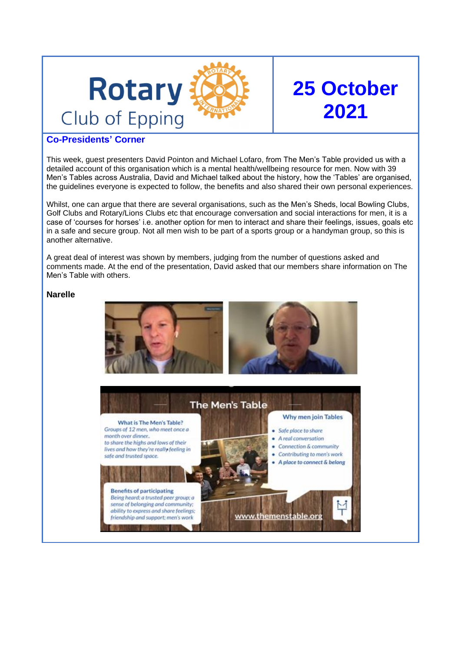

# **25 October 2021**

### **Co-Presidents' Corner**

This week, guest presenters David Pointon and Michael Lofaro, from The Men's Table provided us with a detailed account of this organisation which is a mental health/wellbeing resource for men. Now with 39 Men's Tables across Australia, David and Michael talked about the history, how the 'Tables' are organised, the guidelines everyone is expected to follow, the benefits and also shared their own personal experiences.

Whilst, one can argue that there are several organisations, such as the Men's Sheds, local Bowling Clubs, Golf Clubs and Rotary/Lions Clubs etc that encourage conversation and social interactions for men, it is a case of 'courses for horses' i.e. another option for men to interact and share their feelings, issues, goals etc in a safe and secure group. Not all men wish to be part of a sports group or a handyman group, so this is another alternative.

A great deal of interest was shown by members, judging from the number of questions asked and comments made. At the end of the presentation, David asked that our members share information on The Men's Table with others.

#### **Narelle**

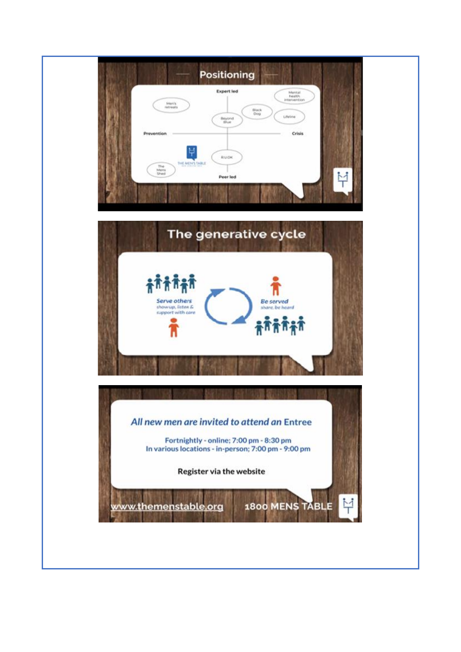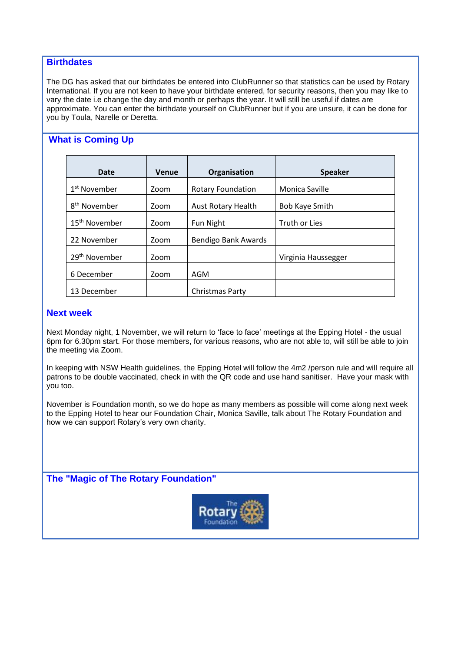#### **Birthdates**

The DG has asked that our birthdates be entered into ClubRunner so that statistics can be used by Rotary International. If you are not keen to have your birthdate entered, for security reasons, then you may like to vary the date i.e change the day and month or perhaps the year. It will still be useful if dates are approximate. You can enter the birthdate yourself on ClubRunner but if you are unsure, it can be done for you by Toula, Narelle or Deretta.

# **What is Coming Up**

| Date                      | Venue | Organisation              | <b>Speaker</b>        |
|---------------------------|-------|---------------------------|-----------------------|
| 1 <sup>st</sup> November  | Zoom  | <b>Rotary Foundation</b>  | Monica Saville        |
| 8 <sup>th</sup> November  | Zoom  | <b>Aust Rotary Health</b> | <b>Bob Kaye Smith</b> |
| 15 <sup>th</sup> November | Zoom  | Fun Night                 | Truth or Lies         |
| 22 November               | Zoom  | Bendigo Bank Awards       |                       |
| 29 <sup>th</sup> November | Zoom  |                           | Virginia Haussegger   |
| 6 December                | Zoom  | AGM                       |                       |
| 13 December               |       | Christmas Party           |                       |

#### **Next week**

Next Monday night, 1 November, we will return to 'face to face' meetings at the Epping Hotel - the usual 6pm for 6.30pm start. For those members, for various reasons, who are not able to, will still be able to join the meeting via Zoom.

In keeping with NSW Health guidelines, the Epping Hotel will follow the 4m2 /person rule and will require all patrons to be double vaccinated, check in with the QR code and use hand sanitiser. Have your mask with you too.

November is Foundation month, so we do hope as many members as possible will come along next week to the Epping Hotel to hear our Foundation Chair, Monica Saville, talk about The Rotary Foundation and how we can support Rotary's very own charity.

**The "Magic of The Rotary Foundation"**

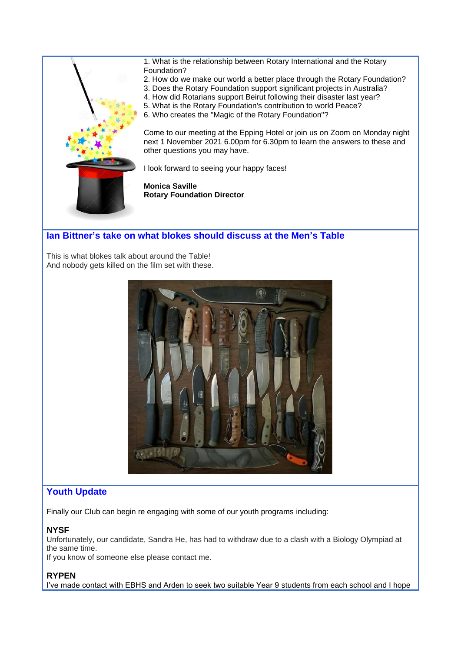

# **Ian Bittner's take on what blokes should discuss at the Men's Table**

This is what blokes talk about around the Table! And nobody gets killed on the film set with these.



## **Youth Update**

Finally our Club can begin re engaging with some of our youth programs including:

#### **NYSF**

Unfortunately, our candidate, Sandra He, has had to withdraw due to a clash with a Biology Olympiad at the same time.

If you know of someone else please contact me.

#### **RYPEN**

I've made contact with EBHS and Arden to seek two suitable Year 9 students from each school and I hope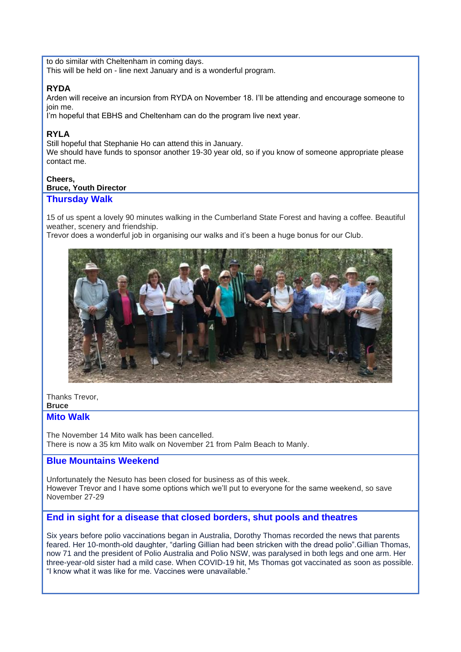to do similar with Cheltenham in coming days. This will be held on - line next January and is a wonderful program.

# **RYDA**

Arden will receive an incursion from RYDA on November 18. I'll be attending and encourage someone to join me.

I'm hopeful that EBHS and Cheltenham can do the program live next year.

# **RYLA**

Still hopeful that Stephanie Ho can attend this in January. We should have funds to sponsor another 19-30 year old, so if you know of someone appropriate please contact me.

#### **Cheers, Bruce, Youth Director**

# **Thursday Walk**

15 of us spent a lovely 90 minutes walking in the Cumberland State Forest and having a coffee. Beautiful weather, scenery and friendship.

Trevor does a wonderful job in organising our walks and it's been a huge bonus for our Club.



## Thanks Trevor,

**Bruce**

#### **Mito Walk**

The November 14 Mito walk has been cancelled. There is now a 35 km Mito walk on November 21 from Palm Beach to Manly.

## **Blue Mountains Weekend**

Unfortunately the Nesuto has been closed for business as of this week. However Trevor and I have some options which we'll put to everyone for the same weekend, so save November 27-29

## **End in sight for a disease that closed borders, shut pools and theatres**

Six years before polio vaccinations began in Australia, Dorothy Thomas recorded the news that parents feared. Her 10-month-old daughter, "darling Gillian had been stricken with the dread polio".Gillian Thomas, now 71 and the president of Polio Australia and Polio NSW, was paralysed in both legs and one arm. Her three-year-old sister had a mild case. When COVID-19 hit, Ms Thomas got vaccinated as soon as possible. "I know what it was like for me. Vaccines were unavailable."